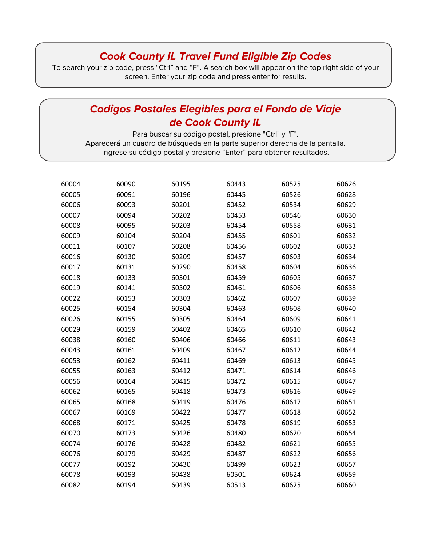## *Cook County IL Travel Fund Eligible Zip Codes*

To search your zip code, press "Ctrl" and "F". A search box will appear on the top right side of your screen. Enter your zip code and press enter for results.

## *Codigos Postales Elegibles para el Fondo de Viaje de Cook County IL*

Para buscar su código postal, presione "Ctrl" y "F". Aparecerá un cuadro de búsqueda en la parte superior derecha de la pantalla. Ingrese su código postal y presione "Enter" para obtener resultados.

| 60004 | 60090 | 60195 | 60443 | 60525 | 60626 |
|-------|-------|-------|-------|-------|-------|
| 60005 | 60091 | 60196 | 60445 | 60526 | 60628 |
| 60006 | 60093 | 60201 | 60452 | 60534 | 60629 |
| 60007 | 60094 | 60202 | 60453 | 60546 | 60630 |
| 60008 | 60095 | 60203 | 60454 | 60558 | 60631 |
| 60009 | 60104 | 60204 | 60455 | 60601 | 60632 |
| 60011 | 60107 | 60208 | 60456 | 60602 | 60633 |
| 60016 | 60130 | 60209 | 60457 | 60603 | 60634 |
| 60017 | 60131 | 60290 | 60458 | 60604 | 60636 |
| 60018 | 60133 | 60301 | 60459 | 60605 | 60637 |
| 60019 | 60141 | 60302 | 60461 | 60606 | 60638 |
| 60022 | 60153 | 60303 | 60462 | 60607 | 60639 |
| 60025 | 60154 | 60304 | 60463 | 60608 | 60640 |
| 60026 | 60155 | 60305 | 60464 | 60609 | 60641 |
| 60029 | 60159 | 60402 | 60465 | 60610 | 60642 |
| 60038 | 60160 | 60406 | 60466 | 60611 | 60643 |
| 60043 | 60161 | 60409 | 60467 | 60612 | 60644 |
| 60053 | 60162 | 60411 | 60469 | 60613 | 60645 |
| 60055 | 60163 | 60412 | 60471 | 60614 | 60646 |
| 60056 | 60164 | 60415 | 60472 | 60615 | 60647 |
| 60062 | 60165 | 60418 | 60473 | 60616 | 60649 |
| 60065 | 60168 | 60419 | 60476 | 60617 | 60651 |
| 60067 | 60169 | 60422 | 60477 | 60618 | 60652 |
| 60068 | 60171 | 60425 | 60478 | 60619 | 60653 |
| 60070 | 60173 | 60426 | 60480 | 60620 | 60654 |
| 60074 | 60176 | 60428 | 60482 | 60621 | 60655 |
| 60076 | 60179 | 60429 | 60487 | 60622 | 60656 |
| 60077 | 60192 | 60430 | 60499 | 60623 | 60657 |
| 60078 | 60193 | 60438 | 60501 | 60624 | 60659 |
| 60082 | 60194 | 60439 | 60513 | 60625 | 60660 |